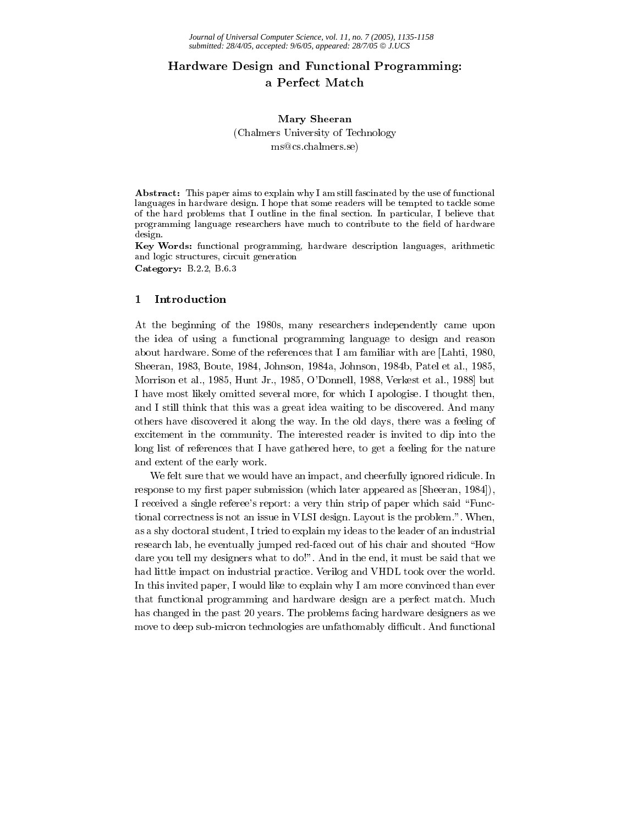# Hardware Design and Functional Programming: a Perfect Match

## Mary Sheeran (Chalmers University of Technology) ms@cs.chalmers.se)

Abstract: This paper aims to explain why I am still fascinated by the use of functional languages in hardware design. I hope that some readers will be tempted to tackle some of the hard problems that I outline in the final section. In particular, I believe that programming language researchers have much to contribute to the field of hardware design.

Key Words: functional programming, hardware description languages, arithmetic and logic structures, circuit generation Category: B.2.2, B.6.3

#### $\mathbf{1}$ Introduction

At the beginning of the 1980s, many researchers independently came upon the idea of using a functional programming language to design and reason about hardware. Some of the references that I am familiar with are [Lahti, 1980, Sheeran, 1983, Boute, 1984, Johnson, 1984a, Johnson, 1984b, Patel et al., 1985, Morrison et al., 1985, Hunt Jr., 1985, O'Donnell, 1988, Verkest et al., 1988 but I have most likely omitted several more, for which I apologise. I thought then, and I still think that this was a great idea waiting to be discovered. And many others have discovered it along the way. In the old days, there was a feeling of excitement in the community. The interested reader is invited to dip into the long list of references that I have gathered here, to get a feeling for the nature and extent of the early work.

We felt sure that we would have an impact, and cheerfully ignored ridicule. In response to my first paper submission (which later appeared as [Sheeran, 1984]). I received a single referee's report: a very thin strip of paper which said "Functional correctness is not an issue in VLSI design. Layout is the problem.". When, as a shy doctoral student, I tried to explain my ideas to the leader of an industrial research lab, he eventually jumped red-faced out of his chair and shouted "How dare you tell my designers what to do!". And in the end, it must be said that we had little impact on industrial practice. Verilog and VHDL took over the world. In this invited paper, I would like to explain why I am more convinced than ever that functional programming and hardware design are a perfect match. Much has changed in the past 20 years. The problems facing hardware designers as we move to deep sub-micron technologies are unfathomably difficult. And functional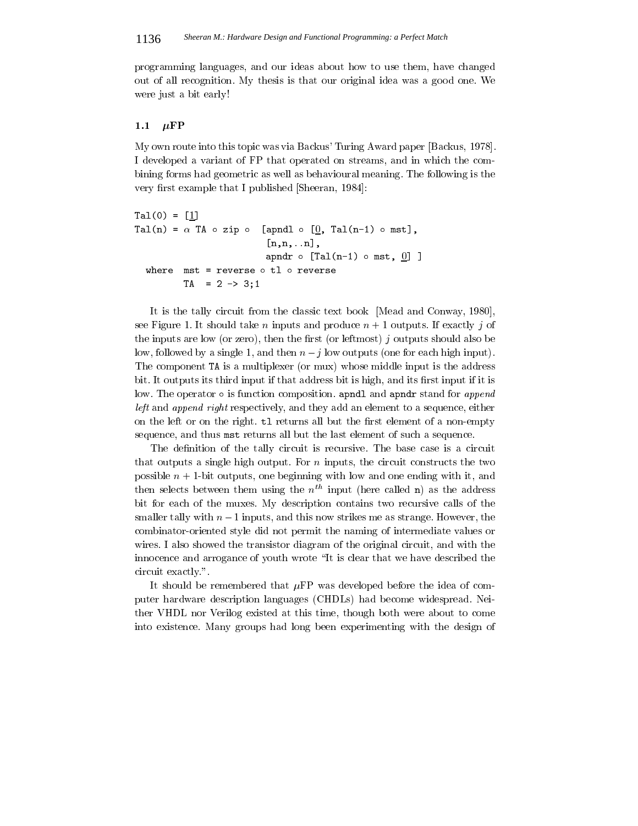programming languages, and our ideas about how to use them, have changed out of all recognition. My thesis is that our original idea was a good one. We were just a bit early!

### 1.1  $\mu$ FP

My own route into this topic was via Backus' Turing Award paper [Backus, 1978]. I developed a variant of FP that operated on streams, and in which the combining forms had geometric as well as behavioural meaning. The following is the very first example that I published [Sheeran, 1984]:

```
Ta1(0) = [1]Tal(n) = \alpha TA \circ zip \circ [apndl \circ [0], Tal(n-1) \circ mst],
                               [n,n,...n],apndr \circ [Tal(n-1) \circ mst, 0] ]
  where mst = reverse \circ tl \circ reverse
           TA = 2 \rightarrow 3:1
```
It is the tally circuit from the classic text book [Mead and Conway, 1980]. see Figure 1. It should take *n* inputs and produce  $n + 1$  outputs. If exactly *j* of the inputs are low (or zero), then the first (or leftmost)  $j$  outputs should also be low, followed by a single 1, and then  $n - j$  low outputs (one for each high input). The component TA is a multiplexer (or mux) whose middle input is the address bit. It outputs its third input if that address bit is high, and its first input if it is low. The operator  $\circ$  is function composition. apndl and apndr stand for append left and append right respectively, and they add an element to a sequence, either on the left or on the right. tl returns all but the first element of a non-empty sequence, and thus mst returns all but the last element of such a sequence.

The definition of the tally circuit is recursive. The base case is a circuit that outputs a single high output. For  $n$  inputs, the circuit constructs the two possible  $n+1$ -bit outputs, one beginning with low and one ending with it, and then selects between them using the  $n^{th}$  input (here called n) as the address bit for each of the muxes. My description contains two recursive calls of the smaller tally with  $n-1$  inputs, and this now strikes me as strange. However, the combinator-oriented style did not permit the naming of intermediate values or wires. I also showed the transistor diagram of the original circuit, and with the innocence and arrogance of youth wrote "It is clear that we have described the circuit exactly."

It should be remembered that  $\mu$ FP was developed before the idea of computer hardware description languages (CHDLs) had become widespread. Neither VHDL nor Verilog existed at this time, though both were about to come into existence. Many groups had long been experimenting with the design of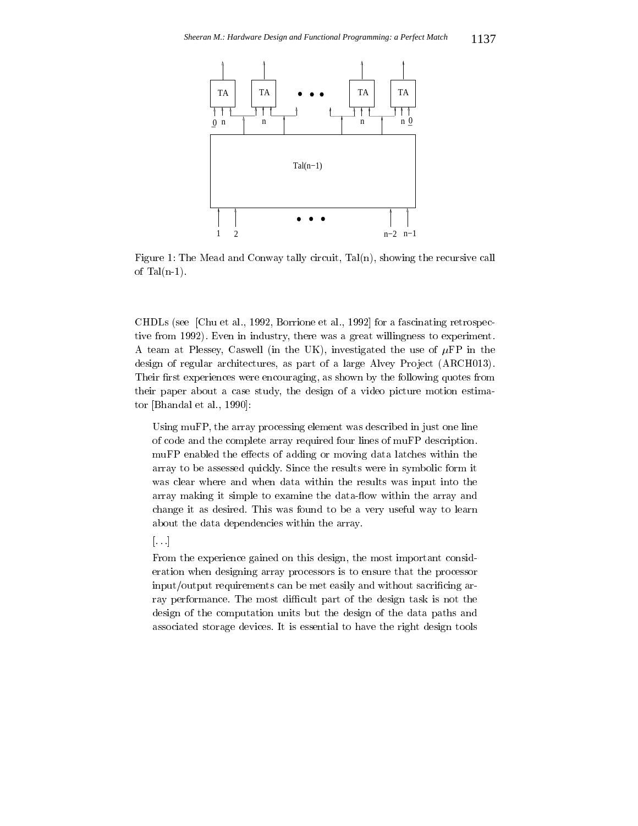

Figure 1: The Mead and Conway tally circuit, Tal(n), showing the recursive call of  $Tal(n-1)$ .

CHDLs (see [Chu et al., 1992, Borrione et al., 1992] for a fascinating retrospective from 1992). Even in industry, there was a great willingness to experiment. A team at Plessey, Caswell (in the UK), investigated the use of  $\mu$ FP in the design of regular architectures, as part of a large Alvey Project (ARCH013). Their first experiences were encouraging, as shown by the following quotes from their paper about a case study, the design of a video picture motion estimator [Bhandal et al., 1990]:

Using muFP, the array processing element was described in just one line of code and the complete array required four lines of muFP description. muFP enabled the effects of adding or moving data latches within the array to be assessed quickly. Since the results were in symbolic form it was clear where and when data within the results was input into the array making it simple to examine the data-flow within the array and change it as desired. This was found to be a very useful way to learn about the data dependencies within the array.

### $\left[\ldots\right]$

From the experience gained on this design, the most important consideration when designing array processors is to ensure that the processor input/output requirements can be met easily and without sacrificing array performance. The most difficult part of the design task is not the design of the computation units but the design of the data paths and associated storage devices. It is essential to have the right design tools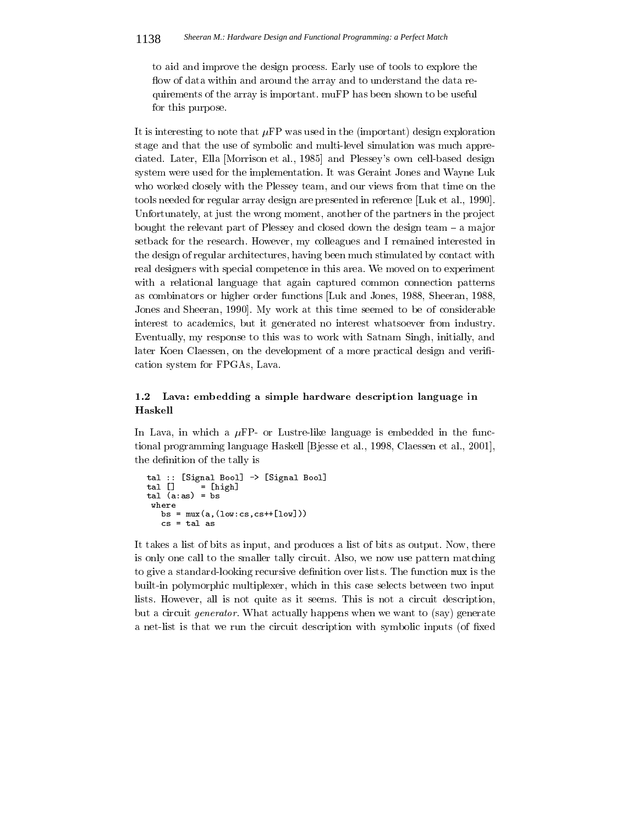to aid and improve the design process. Early use of tools to explore the flow of data within and around the array and to understand the data requirements of the array is important. muFP has been shown to be useful for this purpose.

It is interesting to note that  $\mu$ FP was used in the (important) design exploration stage and that the use of symbolic and multi-level simulation was much appreciated. Later, Ella [Morrison et al., 1985] and Plessey's own cell-based design system were used for the implementation. It was Geraint Jones and Wayne Luk who worked closely with the Plessey team, and our views from that time on the tools needed for regular array design are presented in reference [Luk et al., 1990]. Unfortunately, at just the wrong moment, another of the partners in the project bought the relevant part of Plessey and closed down the design team  $-$  a major setback for the research. However, my colleagues and I remained interested in the design of regular architectures, having been much stimulated by contact with real designers with special competence in this area. We moved on to experiment with a relational language that again captured common connection patterns as combinators or higher order functions Luk and Jones, 1988, Sheeran, 1988, Jones and Sheeran, 1990. My work at this time seemed to be of considerable interest to academics, but it generated no interest whatsoever from industry. Eventually, my response to this was to work with Satnam Singh, initially, and later Koen Claessen, on the development of a more practical design and verification system for FPGAs, Lava.

### Lava: embedding a simple hardware description language in  $1.2$ Haskell

In Lava, in which a  $\mu$ FP- or Lustre-like language is embedded in the functional programming language Haskell [Bjesse et al., 1998, Claessen et al., 2001], the definition of the tally is

```
tal :: [Signal Bool] -> [Signal Bool]
tal []= [high]
tal (a:as) = bswhere
   bs = \max(a, (\text{low:cs, cs++}[\text{low}]))cs = tal as
```
It takes a list of bits as input, and produces a list of bits as output. Now, there is only one call to the smaller tally circuit. Also, we now use pattern matching to give a standard-looking recursive definition over lists. The function mux is the built-in polymorphic multiplexer, which in this case selects between two input lists. However, all is not quite as it seems. This is not a circuit description, but a circuit *generator*. What actually happens when we want to (say) generate a net-list is that we run the circuit description with symbolic inputs (of fixed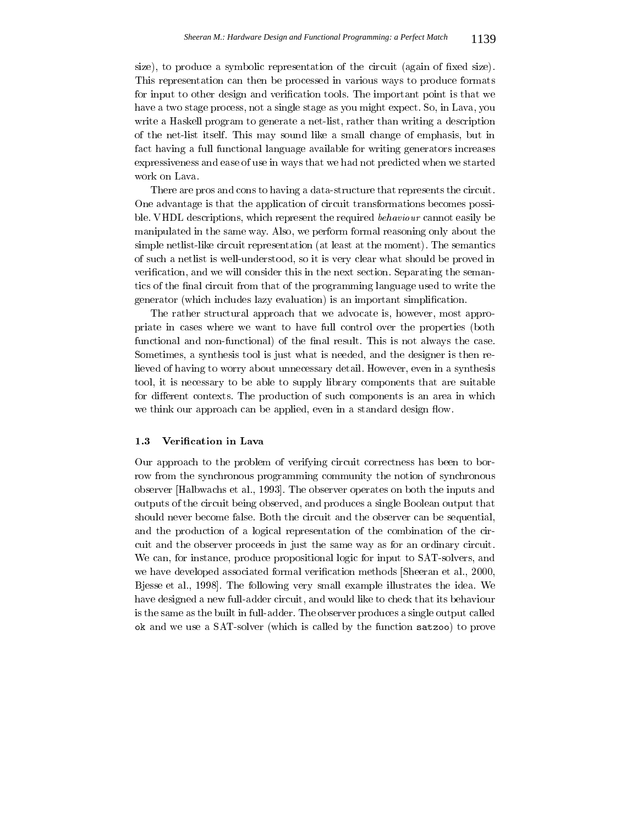size), to produce a symbolic representation of the circuit (again of fixed size). This representation can then be processed in various ways to produce formats for input to other design and verification tools. The important point is that we have a two stage process, not a single stage as you might expect. So, in Lava, you write a Haskell program to generate a net-list, rather than writing a description of the net-list itself. This may sound like a small change of emphasis, but in fact having a full functional language available for writing generators increases expressiveness and ease of use in ways that we had not predicted when we started work on Lava.

There are pros and cons to having a data-structure that represents the circuit. One advantage is that the application of circuit transformations becomes possible. VHDL descriptions, which represent the required behaviour cannot easily be manipulated in the same way. Also, we perform formal reasoning only about the simple net list-like circuit representation (at least at the moment). The semantics of such a netlist is well-understood, so it is very clear what should be proved in verification, and we will consider this in the next section. Separating the semantics of the final circuit from that of the programming language used to write the generator (which includes lazy evaluation) is an important simplification.

The rather structural approach that we advocate is, however, most appropriate in cases where we want to have full control over the properties (both functional and non-functional) of the final result. This is not always the case. Sometimes, a synthesis tool is just what is needed, and the designer is then relieved of having to worry about unnecessary detail. However, even in a synthesis tool, it is necessary to be able to supply library components that are suitable for different contexts. The production of such components is an area in which we think our approach can be applied, even in a standard design flow.

#### 1.3 Verification in Lava

Our approach to the problem of verifying circuit correctness has been to borrow from the synchronous programming community the notion of synchronous observer [Halbwachs et al., 1993]. The observer operates on both the inputs and outputs of the circuit being observed, and produces a single Boolean output that should never become false. Both the circuit and the observer can be sequential, and the production of a logical representation of the combination of the circuit and the observer proceeds in just the same way as for an ordinary circuit. We can, for instance, produce propositional logic for input to SAT-solvers, and we have developed associated formal verification methods Sheeran et al., 2000, Bjesse et al., 1998. The following very small example illustrates the idea. We have designed a new full-adder circuit, and would like to check that its behaviour is the same as the built in full-adder. The observer produces a single output called ok and we use a SAT-solver (which is called by the function satzoo) to prove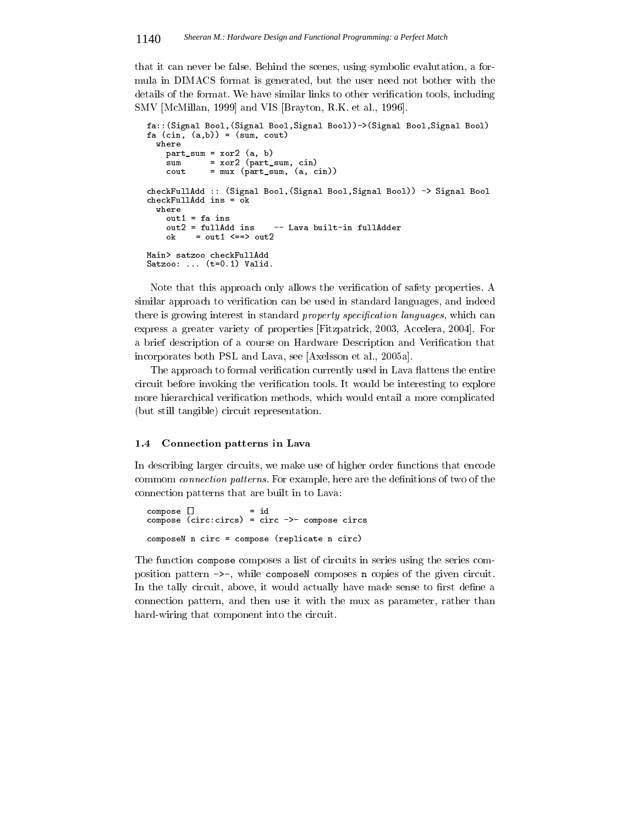that it can never be false. Behind the scenes, using symbolic evalutation, a formula in DIMACS format is generated, but the user need not bother with the details of the format. We have similar links to other verification tools, including SMV [McMillan, 1999] and VIS [Brayton, R.K. et al., 1996].

```
fa:: (Signal Bool, (Signal Bool, Signal Bool))-> (Signal Bool, Signal Bool)
fa (cin, (a,b)) = (sum, cout)where
    part_sum = xor2 (a, b)
    sum= x 0 2 (part_sum, cin)
             = mux (part_sum, (a, cin))
    \text{cont}checkFullAdd :: (Signal Bool, (Signal Bool, Signal Bool)) -> Signal Bool
checkFullAdd ins = \overline{o}k
  where
    out1 = fa ins
    out2 = fullAdd ins
                            -- Lava built-in fullAdder
    ok
          = out1 \leq=> out2
Main> satzoo checkFullAdd
Satzoo: ... (t=0.1) Valid.
```
Note that this approach only allows the verification of safety properties. A similar approach to verification can be used in standard languages, and indeed there is growing interest in standard property specification languages, which can express a greater variety of properties [Fitzpatrick, 2003, Accelera, 2004]. For a brief description of a course on Hardware Description and Verification that incorporates both PSL and Lava, see [Axelsson et al., 2005a].

The approach to formal verification currently used in Lava flattens the entire circuit before invoking the verification tools. It would be interesting to explore more hierarchical verification methods, which would entail a more complicated (but still tangible) circuit representation.

#### $1.4$ **Connection patterns in Lava**

In describing larger circuits, we make use of higher order functions that encode commom *connection patterns*. For example, here are the definitions of two of the connection patterns that are built in to Lava:

```
compose []
                     = idcompose (circ:circs) = circ ->- compose circs
composeN n circ = compose (replicate n circ)
```
The function compose composes a list of circuits in series using the series composition pattern ->-, while composeN composes n copies of the given circuit. In the tally circuit, above, it would actually have made sense to first define a connection pattern, and then use it with the mux as parameter, rather than hard-wiring that component into the circuit.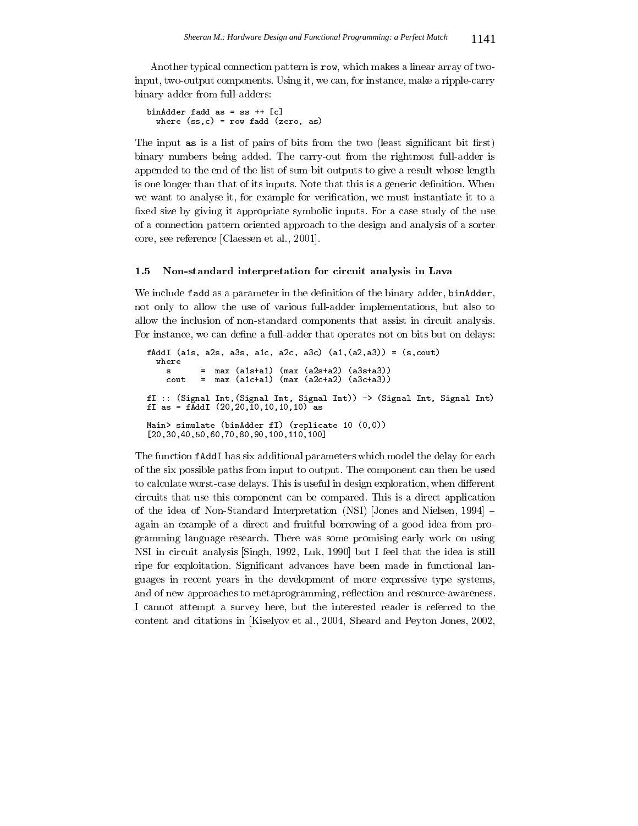Another typical connection pattern is row, which makes a linear array of twoinput, two-output components. Using it, we can, for instance, make a ripple-carry binary adder from full-adders:

```
binAdder fadd as = ss ++ [c]where (ss, c) = row fadd (zero, as)
```
The input as is a list of pairs of bits from the two (least significant bit first) binary numbers being added. The carry-out from the rightmost full-adder is appended to the end of the list of sum-bit outputs to give a result whose length is one longer than that of its inputs. Note that this is a generic definition. When we want to analyse it, for example for verification, we must instantiate it to a fixed size by giving it appropriate symbolic inputs. For a case study of the use of a connection pattern oriented approach to the design and analysis of a sorter core, see reference [Claessen et al., 2001].

#### $1.5$ Non-standard interpretation for circuit analysis in Lava

We include fadd as a parameter in the definition of the binary adder, binAdder, not only to allow the use of various full-adder implementations, but also to allow the inclusion of non-standard components that assist in circuit analysis. For instance, we can define a full-adder that operates not on bits but on delays:

```
fAddI (a1s, a2s, a3s, a1c, a2c, a3c) (a1, (a2, a3)) = (s, \text{cout})where
                   max (a1s+a1) (max (a2s+a2) (a3s+a3))<br>max (a1c+a1) (max (a2c+a2) (a3c+a3))
      s
                \equivcout
                \equivfI :: (Signal Int, (Signal Int, Signal Int)) -> (Signal Int, Signal Int) fI as = fAddI (20,20,10,10,10) 10 as
Main> simulate (binAdder fI) (replicate 10 (0,0))
[20, 30, 40, 50, 60, 70, 80, 90, 100, 110, 100]
```
The function fAddI has six additional parameters which model the delay for each of the six possible paths from input to output. The component can then be used to calculate worst-case delays. This is useful in design exploration, when different circuits that use this component can be compared. This is a direct application of the idea of Non-Standard Interpretation (NSI) [Jones and Nielsen, 1994] again an example of a direct and fruitful borrowing of a good idea from programming language research. There was some promising early work on using NSI in circuit analysis [Singh, 1992, Luk, 1990] but I feel that the idea is still ripe for exploitation. Significant advances have been made in functional languages in recent years in the development of more expressive type systems, and of new approaches to metaprogramming, reflection and resource-awareness. I cannot attempt a survey here, but the interested reader is referred to the content and citations in [Kiselyov et al., 2004, Sheard and Peyton Jones, 2002,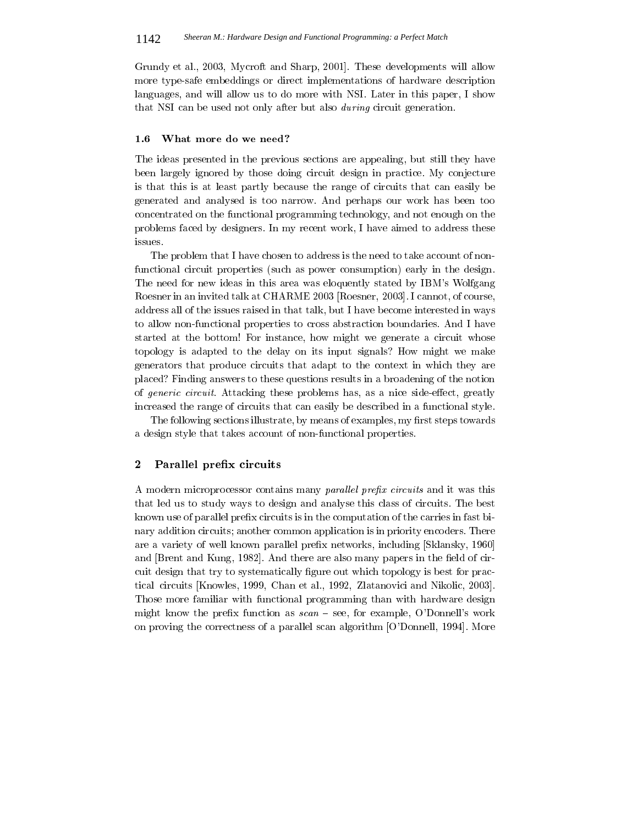Grundy et al., 2003, Mycroft and Sharp, 2001. These developments will allow more type-safe embeddings or direct implementations of hardware description languages, and will allow us to do more with NSI. Later in this paper, I show that NSI can be used not only after but also *during* circuit generation.

#### $1.6$ What more do we need?

The ideas presented in the previous sections are appealing, but still they have been largely ignored by those doing circuit design in practice. My conjecture is that this is at least partly because the range of circuits that can easily be generated and analysed is too narrow. And perhaps our work has been too concentrated on the functional programming technology, and not enough on the problems faced by designers. In my recent work, I have aimed to address these issues.

The problem that I have chosen to address is the need to take account of nonfunctional circuit properties (such as power consumption) early in the design. The need for new ideas in this area was eloquently stated by IBM's Wolfgang Roesner in an invited talk at CHARME 2003 [Roesner, 2003]. I cannot, of course, address all of the issues raised in that talk, but I have become interested in ways to allow non-functional properties to cross abstraction boundaries. And I have started at the bottom! For instance, how might we generate a circuit whose topology is adapted to the delay on its input signals? How might we make generators that produce circuits that adapt to the context in which they are placed? Finding answers to these questions results in a broadening of the notion of *generic circuit*. Attacking these problems has, as a nice side-effect, greatly increased the range of circuits that can easily be described in a functional style.

The following sections illustrate, by means of examples, my first steps towards a design style that takes account of non-functional properties.

#### $\boldsymbol{2}$ Parallel prefix circuits

A modern microprocessor contains many parallel prefix circuits and it was this that led us to study ways to design and analyse this class of circuits. The best known use of parallel prefix circuits is in the computation of the carries in fast binary addition circuits; another common application is in priority encoders. There are a variety of well known parallel prefix networks, including [Sklansky, 1960] and Brent and Kung, 1982. And there are also many papers in the field of circuit design that try to systematically figure out which topology is best for practical circuits [Knowles, 1999, Chan et al., 1992, Zlatanovici and Nikolic, 2003]. Those more familiar with functional programming than with hardware design might know the prefix function as  $scan - see$ , for example, O'Donnell's work on proving the correctness of a parallel scan algorithm [O'Donnell, 1994]. More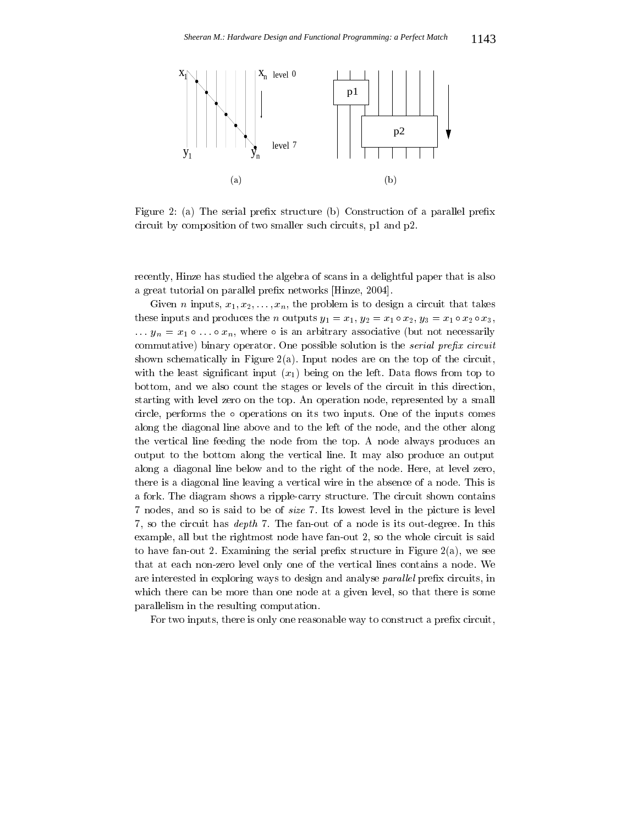

Figure 2: (a) The serial prefix structure (b) Construction of a parallel prefix circuit by composition of two smaller such circuits, p1 and p2.

recently, Hinze has studied the algebra of scans in a delightful paper that is also a great tutorial on parallel prefix networks [Hinze, 2004].

Given *n* inputs,  $x_1, x_2, \ldots, x_n$ , the problem is to design a circuit that takes these inputs and produces the *n* outputs  $y_1 = x_1$ ,  $y_2 = x_1 \circ x_2$ ,  $y_3 = x_1 \circ x_2 \circ x_3$ ,  $\ldots$   $y_n = x_1 \circ \ldots \circ x_n$ , where  $\circ$  is an arbitrary associative (but not necessarily commutative) binary operator. One possible solution is the *serial prefix circuit* shown schematically in Figure 2(a). Input nodes are on the top of the circuit, with the least significant input  $(x_1)$  being on the left. Data flows from top to bottom, and we also count the stages or levels of the circuit in this direction, starting with level zero on the top. An operation node, represented by a small circle, performs the  $\circ$  operations on its two inputs. One of the inputs comes along the diagonal line above and to the left of the node, and the other along the vertical line feeding the node from the top. A node always produces an output to the bottom along the vertical line. It may also produce an output along a diagonal line below and to the right of the node. Here, at level zero, there is a diagonal line leaving a vertical wire in the absence of a node. This is a fork. The diagram shows a ripple-carry structure. The circuit shown contains 7 nodes, and so is said to be of *size* 7. Its lowest level in the picture is level 7, so the circuit has *depth* 7. The fan-out of a node is its out-degree. In this example, all but the rightmost node have fan-out 2, so the whole circuit is said to have fan-out 2. Examining the serial prefix structure in Figure  $2(a)$ , we see that at each non-zero level only one of the vertical lines contains a node. We are interested in exploring ways to design and analyse parallel prefix circuits, in which there can be more than one node at a given level, so that there is some parallelism in the resulting computation.

For two inputs, there is only one reasonable way to construct a prefix circuit,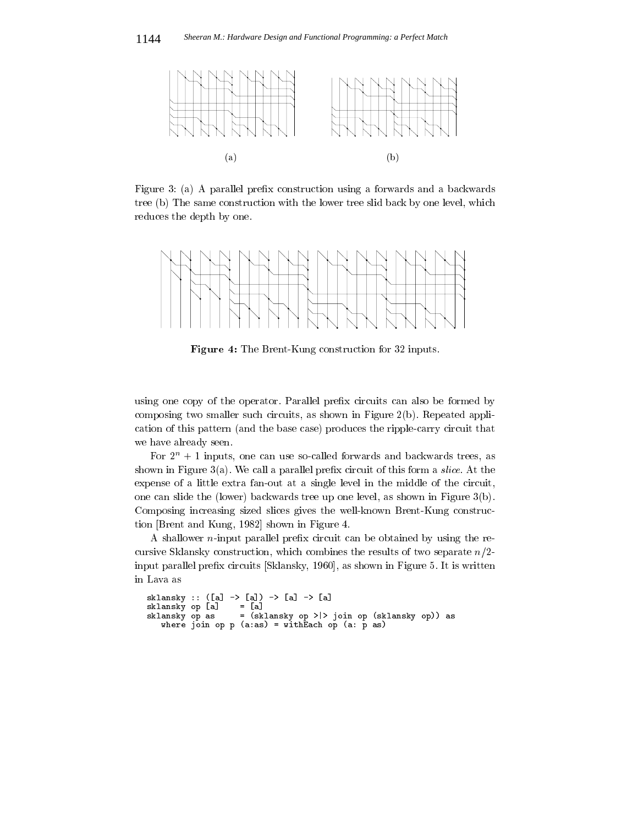

Figure 3: (a) A parallel prefix construction using a forwards and a backwards tree (b) The same construction with the lower tree slid back by one level, which reduces the depth by one.



Figure 4: The Brent-Kung construction for 32 inputs.

using one copy of the operator. Parallel prefix circuits can also be formed by composing two smaller such circuits, as shown in Figure  $2(b)$ . Repeated application of this pattern (and the base case) produces the ripple-carry circuit that we have already seen.

For  $2^n + 1$  inputs, one can use so-called forwards and backwards trees, as shown in Figure 3(a). We call a parallel prefix circuit of this form a *slice*. At the expense of a little extra fan-out at a single level in the middle of the circuit, one can slide the (lower) backwards tree up one level, as shown in Figure 3(b). Composing increasing sized slices gives the well-known Brent-Kung construction [Brent and Kung, 1982] shown in Figure 4.

A shallower  $n$ -input parallel prefix circuit can be obtained by using the recursive Sklansky construction, which combines the results of two separate  $n/2$ input parallel prefix circuits [Sklansky, 1960], as shown in Figure 5. It is written in Lava as

```
sklansky :: ([a] \rightarrow [a]) \rightarrow [a] \rightarrow [a]= [a]sklansky op [a]
    x ansky op as = (sklansky op > > join op (sklansky op)) as<br>where join op p (a:as) = withEach op (a: p as)
sklansky op as
```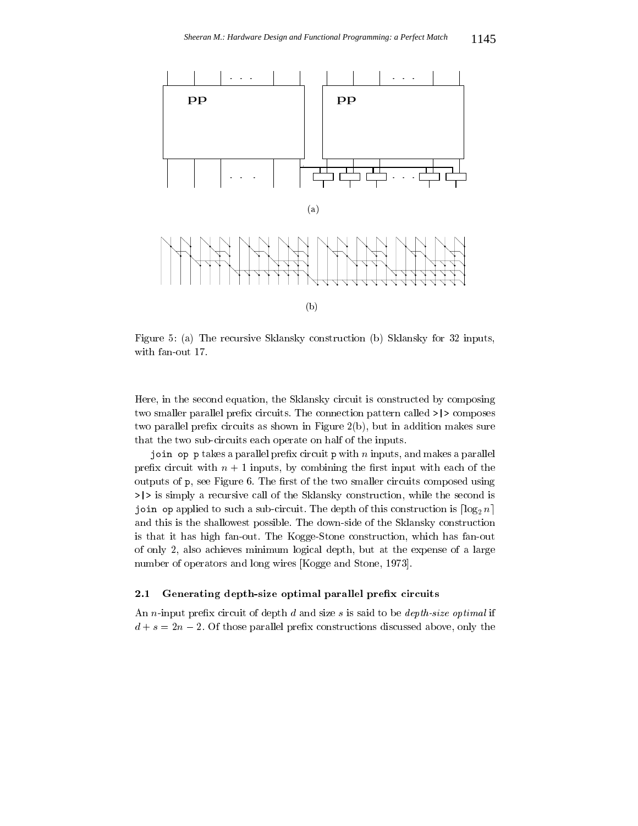

9 +7 -  "2 2 "2 2 &>

- 
- B 
- "2 2 

 . The contract of the contract of the contract of the contract of the contract of the contract of the contract of the contract of the contract of the contract of the contract of the contract of the contract of the contract ! 64 
 -! 9 > 
 2 - 
- 
! : 
 - 
 - 
-

 $\mathbf{r} = \mathbf{r} \cdot \mathbf{r}$  , and the contract of the contract of the contract of the contract of the contract of the contract of the contract of the contract of the contract of the contract of the contract of the contract of 64 !
- @ - 6
 !
- - - 

 9 L - 6

- 
! 
 (  
- "2 2 !- 
- Jihar shinka shinka shekarar ta kati wasan kata shekarar ta kata shekarar ta shekarar ta  $\sim$   $\sim$   $\sim$   $\sim$   $\sim$  
- 
- -!
 - ! : 
- "2 2 - - -- : - E:" !-- - : > - - - 4 . The set of the set of the set of the set of the set of the set of the set of the set of the set of the set of the set of the set of the set of the set of the set of the set of the set of the set of the set of the set of

### +- &, - -!- -

 $\ldots$  . The compact of  $\ldots$  and  $\ldots$  and  $\ldots$  and  $\ldots$  are  $\ldots$  and  $\ldots$  $\mathbb{P}^1$  . The set of the set of the set of the set of the set of the set of the set of the set of the set of the set of the set of the set of the set of the set of the set of the set of the set of the set of the set of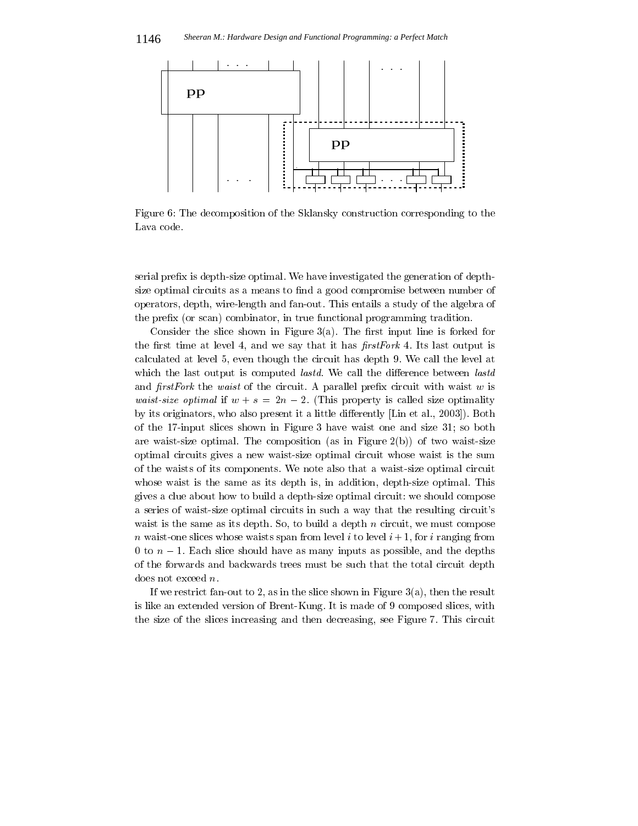

Figure 6: The decomposition of the Sklansky construction corresponding to the Lava code.

serial prefix is depth-size optimal. We have investigated the generation of depthsize optimal circuits as a means to find a good compromise between number of operators, depth, wire-length and fan-out. This entails a study of the algebra of the prefix (or scan) combinator, in true functional programming tradition.

Consider the slice shown in Figure  $3(a)$ . The first input line is forked for the first time at level 4, and we say that it has *first Fork* 4. Its last output is calculated at level 5, even though the circuit has depth 9. We call the level at which the last output is computed *lastd*. We call the difference between *lastd* and  $firstFork$  the waist of the circuit. A parallel prefix circuit with waist w is *waist-size optimal* if  $w + s = 2n - 2$ . (This property is called size optimality by its originators, who also present it a little differently [Lin et al., 2003]). Both of the 17-input slices shown in Figure 3 have waist one and size 31; so both are waist-size optimal. The composition (as in Figure  $2(b)$ ) of two waist-size optimal circuits gives a new waist-size optimal circuit whose waist is the sum of the waists of its components. We note also that a waist-size optimal circuit whose waist is the same as its depth is, in addition, depth-size optimal. This gives a clue about how to build a depth-size optimal circuit: we should compose a series of waist-size optimal circuits in such a way that the resulting circuit's waist is the same as its depth. So, to build a depth  $n$  circuit, we must compose *n* waist-one slices whose waists span from level *i* to level  $i + 1$ , for *i* ranging from 0 to  $n-1$ . Each slice should have as many inputs as possible, and the depths of the forwards and backwards trees must be such that the total circuit depth does not exceed  $n$ .

If we restrict fan-out to 2, as in the slice shown in Figure 3(a), then the result is like an extended version of Brent-Kung. It is made of 9 composed slices, with the size of the slices increasing and then decreasing, see Figure 7. This circuit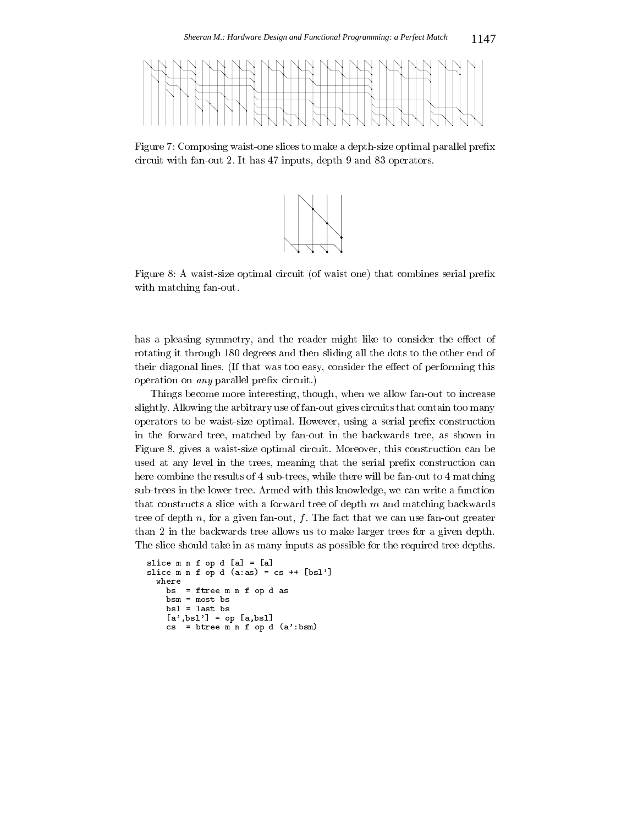

Figure 7: Composing waist-one slices to make a depth-size optimal parallel prefix circuit with fan-out 2. It has 47 inputs, depth 9 and 83 operators.



Figure 8: A waist-size optimal circuit (of waist one) that combines serial prefix with matching fan-out.

has a pleasing symmetry, and the reader might like to consider the effect of rotating it through 180 degrees and then sliding all the dots to the other end of their diagonal lines. (If that was too easy, consider the effect of performing this operation on *any* parallel prefix circuit.)

Things become more interesting, though, when we allow fan-out to increase slightly. Allowing the arbitrary use of fan-out gives circuits that contain too many operators to be waist-size optimal. However, using a serial prefix construction in the forward tree, matched by fan-out in the backwards tree, as shown in Figure 8, gives a waist-size optimal circuit. Moreover, this construction can be used at any level in the trees, meaning that the serial prefix construction can here combine the results of 4 sub-trees, while there will be fan-out to 4 matching sub-trees in the lower tree. Armed with this knowledge, we can write a function that constructs a slice with a forward tree of depth  $m$  and matching backwards tree of depth n, for a given fan-out,  $f$ . The fact that we can use fan-out greater than 2 in the backwards tree allows us to make larger trees for a given depth. The slice should take in as many inputs as possible for the required tree depths.

```
slice m n f op d [a] = [a]slice m n f \overline{op} d (a:as) = cs ++ [bsl']
 where
    bs = ftree \text{ m n f op d as}bsm = most bsbs1 = last bs[a', bs] = op [a, bs]cs = btree m n f op d (a':bsm)
```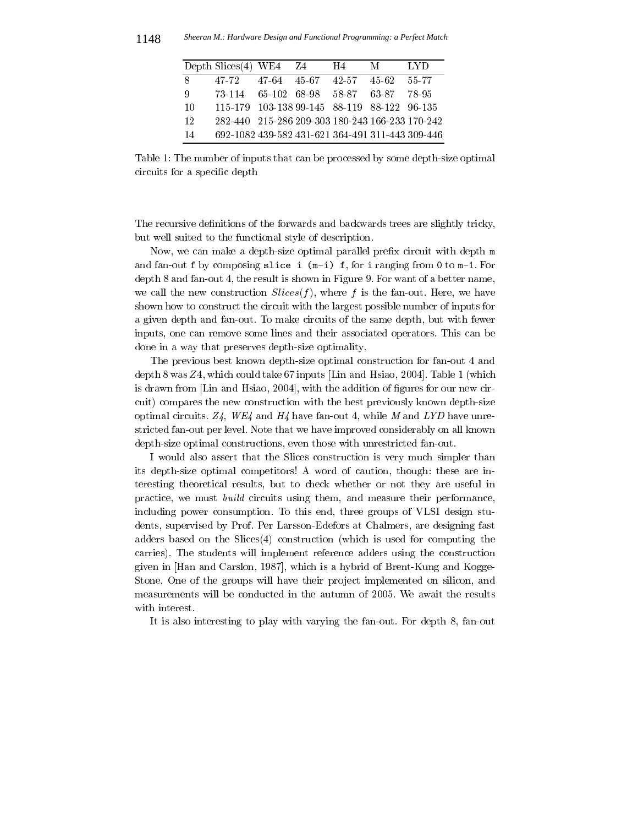| Depth Slices $(4)$ WE4 Z4                              | H4. | M       | LYD   |
|--------------------------------------------------------|-----|---------|-------|
| 8<br>47-64 45-67 42-57<br>47-72                        |     | - 45.62 | 55-77 |
| 73-114 65-102 68-98 58-87 63-87<br>-9                  |     |         | 78-95 |
| 115-179 103-138 99-145 88-119 88-122 96-135<br>-10     |     |         |       |
| 282-440 215-286 209-303 180-243 166-233 170-242<br>12  |     |         |       |
| 692-1082 439-582 431-621 364-491 311-443 309-446<br>14 |     |         |       |

Table 1: The number of inputs that can be processed by some depth-size optimal circuits for a specific depth

The recursive definitions of the forwards and backwards trees are slightly tricky, but well suited to the functional style of description.

Now, we can make a depth-size optimal parallel prefix circuit with depth m and fan-out f by composing slice i  $(m-i)$  f, for i ranging from 0 to  $m-1$ . For depth 8 and fan-out 4, the result is shown in Figure 9. For want of a better name, we call the new construction  $Slices(f)$ , where f is the fan-out. Here, we have shown how to construct the circuit with the largest possible number of inputs for a given depth and fan-out. To make circuits of the same depth, but with fewer inputs, one can remove some lines and their associated operators. This can be done in a way that preserves depth-size optimality.

The previous best known depth-size optimal construction for fan-out 4 and depth 8 was  $Z_4$ , which could take 67 inputs [Lin and Hsiao, 2004]. Table 1 (which is drawn from [Lin and Hsiao, 2004], with the addition of figures for our new circuit) compares the new construction with the best previously known depth-size optimal circuits. Z4, WE4 and H4 have fan-out 4, while M and LYD have unrestricted fan-out per level. Note that we have improved considerably on all known depth-size optimal constructions, even those with unrestricted fan-out.

I would also assert that the Slices construction is very much simpler than its depth-size optimal competitors! A word of caution, though: these are interesting theoretical results, but to check whether or not they are useful in practice, we must *build* circuits using them, and measure their performance, including power consumption. To this end, three groups of VLSI design students, supervised by Prof. Per Larsson-Edefors at Chalmers, are designing fast adders based on the  $Slices(4)$  construction (which is used for computing the carries). The students will implement reference adders using the construction given in [Han and Carslon, 1987], which is a hybrid of Brent-Kung and Kogge-Stone. One of the groups will have their project implemented on silicon, and measurements will be conducted in the autumn of 2005. We await the results with interest.

It is also interesting to play with varying the fan-out. For depth 8, fan-out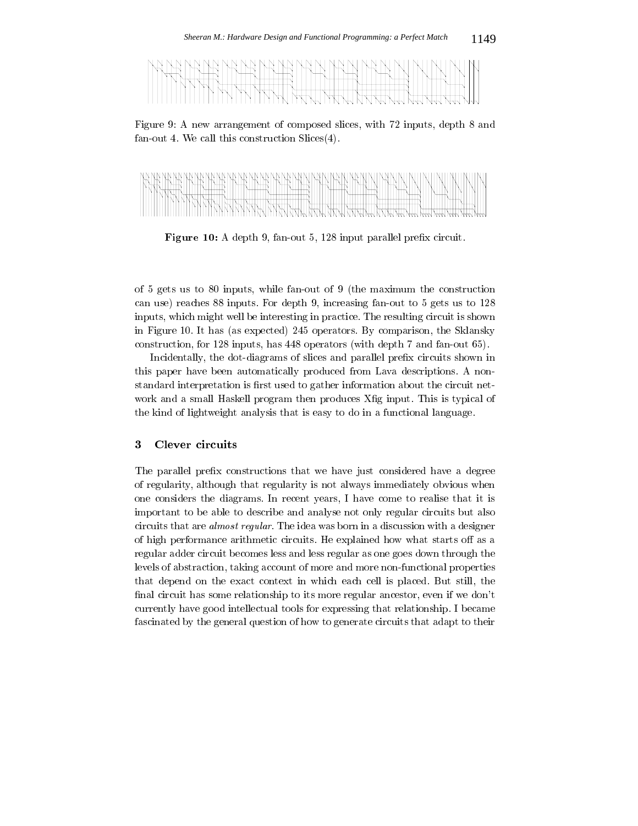

9 7 ! !
- ?> - : 
 ( 5 
- "(



- . 
- : 
 + > 
 64

 + !- : - 4 - - 
 9 
- : 

 + 

 >  $\mathbf{A}$  . The contract of  $\mathbf{A}$ in Figure 10. It has (as expected) 245 operators. By comparison, the Sklansky  $\mathbf{r} = \mathbf{r} + \mathbf{r}$  , and  $\mathbf{r} = \mathbf{r} + \mathbf{r}$  , and  $\mathbf{r} = \mathbf{r} + \mathbf{r}$  , and  $\mathbf{r} = \mathbf{r} + \mathbf{r}$  , and  $\mathbf{r} = \mathbf{r} + \mathbf{r}$  , and  $\mathbf{r} = \mathbf{r} + \mathbf{r}$  , and  $\mathbf{r} = \mathbf{r} + \mathbf{r}$  , and  $\mathbf{r} = \mathbf{r} + \mathbf$ 

# 
- 
: 64 
 -! ..... proper cases a communication of properties and the material and controlled the control of the control of denotes the contract of the contract of the contract of the contract of the contract of the contract of the contract of the contract of the contract of the contract of the contract of the contract of the contract of the co !2 -2 
- R6 
 - 
 - 2 -!- 
- 

### 3 Clever circuits

- 64 - ! - < -  $\blacksquare$  . The state of the state of the state of the state of the state of the state of the state of the state of the state of the state of the state of the state of the state of the state of the state of the state of the - # # - - 
 $\alpha$  . The critical contraction of  $\alpha$  ,  $\alpha$  and  $\alpha$  . The recommended by settle the critical condition of  $\alpha$  conditions are constantly and conditions of  $\alpha$  -- 
- 
 - 4 -! !- 

 G 
 ! 
- - 
 in a contract the contract of the contract of the contract of the contract of the contract of the contract of the contract of the contract of the contract of the contract of the contract of the contract of the contract of that depend on the exact context in which each cell is placed. But still, the  $\mathbf{F}$ and the contract of the contract of the contract of the contract of the contract of the contract of the contract of the contract of the contract of the contract of the contract of the contract of the contract of the contra  $\mathbf{A}$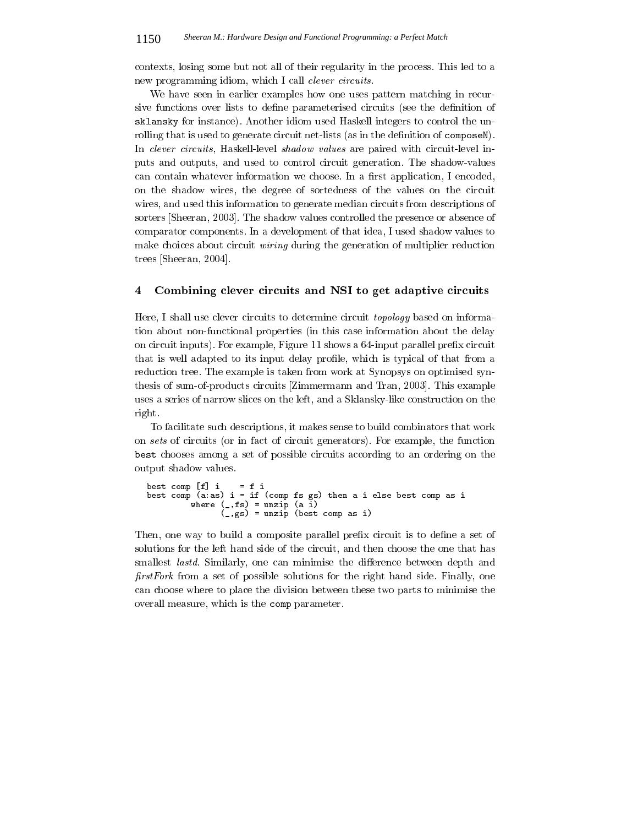contexts, losing some but not all of their regularity in the process. This led to a new programming idiom, which I call *clever circuits*.

We have seen in earlier examples how one uses pattern matching in recursive functions over lists to define parameterised circuits (see the definition of sklansky for instance). Another idiom used Haskell integers to control the unrolling that is used to generate circuit net-lists (as in the definition of composeN). In clever circuits, Haskell-level shadow values are paired with circuit-level inputs and outputs, and used to control circuit generation. The shadow-values can contain whatever information we choose. In a first application, I encoded, on the shadow wires, the degree of sortedness of the values on the circuit wires, and used this information to generate median circuits from descriptions of sorters [Sheeran, 2003]. The shadow values controlled the presence or absence of comparator components. In a development of that idea, I used shadow values to make choices about circuit wiring during the generation of multiplier reduction trees [Sheeran, 2004].

#### $\overline{\mathbf{4}}$ Combining clever circuits and NSI to get adaptive circuits

Here, I shall use clever circuits to determine circuit *topology* based on information about non-functional properties (in this case information about the delay on circuit inputs). For example, Figure 11 shows a 64-input parallel prefix circuit that is well adapted to its input delay profile, which is typical of that from a reduction tree. The example is taken from work at Synopsys on optimised synthesis of sum-of-products circuits [Zimmermann and Tran, 2003]. This example uses a series of narrow slices on the left, and a Sklansky-like construction on the right.

To facilitate such descriptions, it makes sense to build combinators that work on sets of circuits (or in fact of circuit generators). For example, the function best chooses among a set of possible circuits according to an ordering on the output shadow values.

```
= f ibest comp [f] i
best comp (a:as) i = if (comp fs gs) then a i else best comp as i<br>where (, fs) = unzip (a i)<br>(, gs) = unzip (best comp as i)
```
Then, one way to build a composite parallel prefix circuit is to define a set of solutions for the left hand side of the circuit, and then choose the one that has smallest *lastd*. Similarly, one can minimise the difference between depth and *first Fork* from a set of possible solutions for the right hand side. Finally, one can choose where to place the division between these two parts to minimise the overall measure, which is the comp parameter.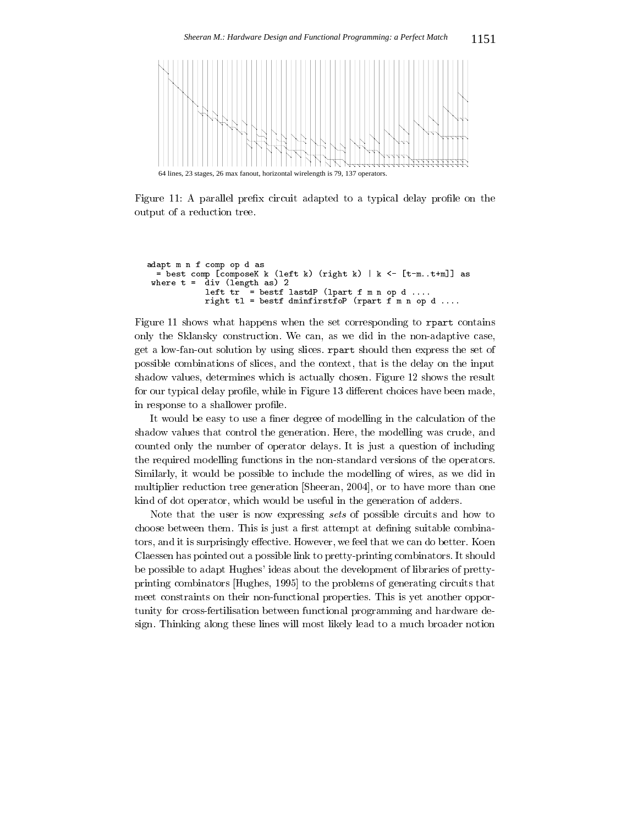

9 7 64 6 - 

```
$    

 $ 
 . It is a set of the set of the set of the set of \mathcal{S} . It is assumed to the set of \mathcal{S} and \mathcal{S}wnere t =  aiv (lengtn as) 2
          -
    -
$= -

 $ ++++
           -
   $
=     
 $ ++++
```
experimental contract to the contract of the contract of the contract of the contract of the contract of the contract of the contract of the contract of the contract of the contract of the contract of the contract of the c - "2 2 5 ! - :
 !: : 
 - 
- 4 
- 

- 4

- 
- 
- -!  !-- 
 - 9 > -! 
- 
 6 !- 9 & G - - 
 -! 6

#
 ! 
 6 
- 
-  $\mathbf{r}$  $\blacksquare$  . The contract of the contract of the contract of the contract of the contract of the contract of the contract of the contract of the contract of the contract of the contract of the contract of the contract of the  $\blacksquare$  $\blacksquare$  . The set of the set of the set of the set of the set of the set of the set of the set of the set of the set of the set of the set of the set of the set of the set of the set of the set of the set of the set of the 

 \$"- >(3 - 
-  $\mathbf{r}$  . The contract of the contract of the contract of the contract of the contract of the contract of the contract of the contract of the contract of the contract of the contract of the contract of the contract of th

C - - ! 4 - -! - 
! 
- - < 
 6

6 
 : 
 G
 -! ! 
- ! 

 E - 
 2 

: #
 - 

 - -/ 

-  

: \$- - +3 

- 

- 
- : 
 - 
 - : example to the contract of the contract of the contract of the contract of the contract of the contract of the - 2 
- ! 
 2 
 -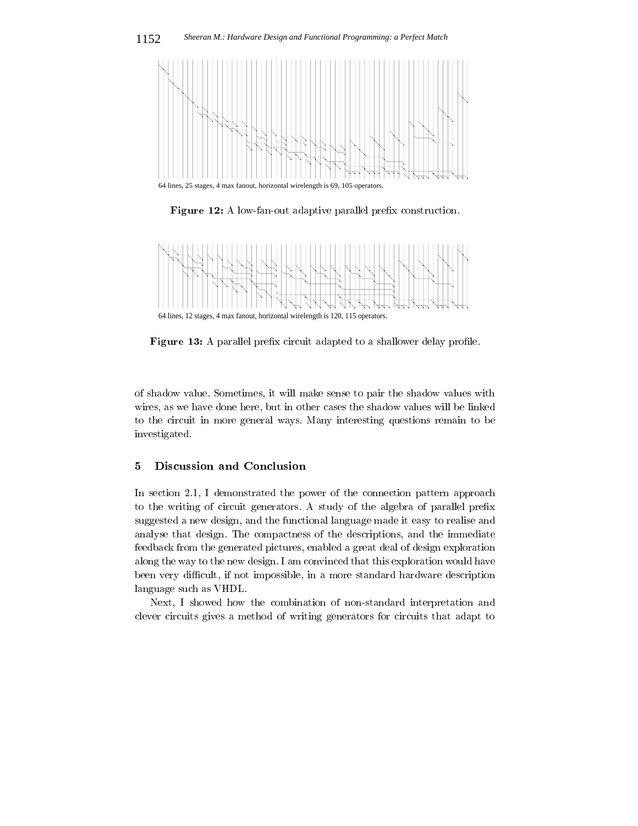

Figure 12: A low-fan-out adaptive parallel prefix construction.



Figure 13: A parallel prefix circuit adapted to a shallower delay profile.

of shadow value. Sometimes, it will make sense to pair the shadow values with wires, as we have done here, but in other cases the shadow values will be linked to the circuit in more general ways. Many interesting questions remain to be investigated.

#### Discussion and Conclusion  $\mathbf{5}$

In section 2.1, I demonstrated the power of the connection pattern approach to the writing of circuit generators. A study of the algebra of parallel prefix suggested a new design, and the functional language made it easy to realise and analyse that design. The compactness of the descriptions, and the immediate feedback from the generated pictures, enabled a great deal of design exploration along the way to the new design. I am convinced that this exploration would have been very difficult, if not impossible, in a more standard hardware description language such as VHDL.

Next, I showed how the combination of non-standard interpretation and clever circuits gives a method of writing generators for circuits that adapt to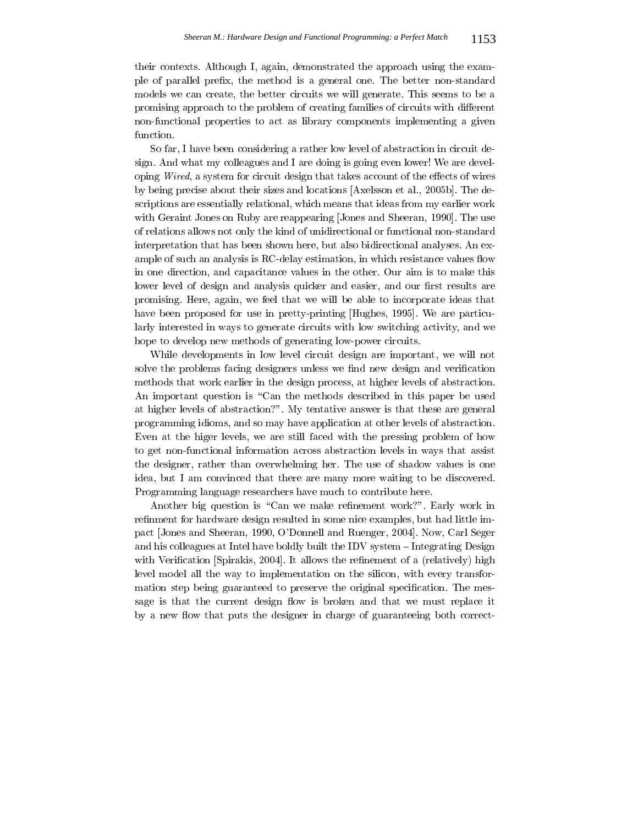their contexts. Although I, again, demonstrated the approach using the example of parallel prefix, the method is a general one. The better non-standard models we can create, the better circuits we will generate. This seems to be a promising approach to the problem of creating families of circuits with different non-functional properties to act as library components implementing a given function.

So far, I have been considering a rather low level of abstraction in circuit design. And what my colleagues and I are doing is going even lower! We are developing Wired, a system for circuit design that takes account of the effects of wires by being precise about their sizes and locations [Axelsson et al., 2005b]. The descriptions are essentially relational, which means that ideas from my earlier work with Geraint Jones on Ruby are reappearing Jones and Sheeran, 1990]. The use of relations allows not only the kind of unidirectional or functional non-standard interpretation that has been shown here, but also bidirectional analyses. An example of such an analysis is RC-delay estimation, in which resistance values flow in one direction, and capacitance values in the other. Our aim is to make this lower level of design and analysis quicker and easier, and our first results are promising. Here, again, we feel that we will be able to incorporate ideas that have been proposed for use in pretty-printing Hughes, 1995. We are particularly interested in ways to generate circuits with low switching activity, and we hope to develop new methods of generating low-power circuits.

While developments in low level circuit design are important, we will not solve the problems facing designers unless we find new design and verification methods that work earlier in the design process, at higher levels of abstraction. An important question is "Can the methods described in this paper be used at higher levels of abstraction?". My tentative answer is that these are general programming idioms, and so may have application at other levels of abstraction. Even at the higer levels, we are still faced with the pressing problem of how to get non-functional information across abstraction levels in ways that assist the designer, rather than overwhelming her. The use of shadow values is one idea, but I am convinced that there are many more waiting to be discovered. Programming language researchers have much to contribute here.

Another big question is "Can we make refinement work?". Early work in refinment for hardware design resulted in some nice examples, but had little impact Jones and Sheeran, 1990, O'Donnell and Ruenger, 2004. Now, Carl Seger and his colleagues at Intel have boldly built the IDV system  $\overline{-}$ Integrating Design with Verification Spirakis, 2004. It allows the refinement of a (relatively) high level model all the way to implementation on the silicon, with every transformation step being guaranteed to preserve the original specification. The message is that the current design flow is broken and that we must replace it by a new flow that puts the designer in charge of guaranteeing both correct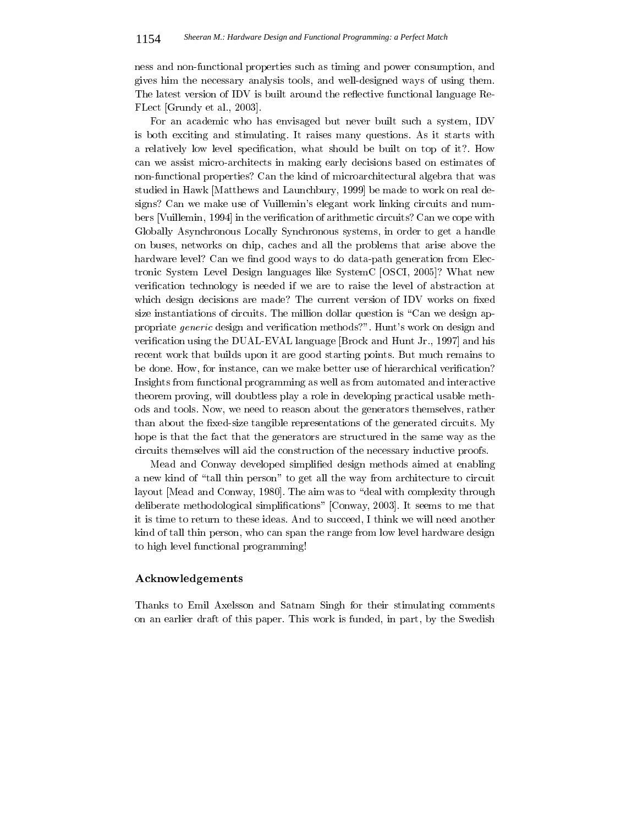ness and non-functional properties such as timing and power consumption, and gives him the necessary analysis tools, and well-designed ways of using them. The latest version of IDV is built around the reflective functional language Re-FLect [Grundy et al., 2003].

For an academic who has envisaged but never built such a system, IDV is both exciting and stimulating. It raises many questions. As it starts with a relatively low level specification, what should be built on top of it?. How can we assist micro-architects in making early decisions based on estimates of non-functional properties? Can the kind of microarchitectural algebra that was studied in Hawk [Matthews and Launchbury, 1999] be made to work on real designs? Can we make use of Vuillemin's elegant work linking circuits and numbers [Vuillemin, 1994] in the verification of arithmetic circuits? Can we cope with Globally Asynchronous Locally Synchronous systems, in order to get a handle on buses, networks on chip, caches and all the problems that arise above the hardware level? Can we find good ways to do data-path generation from Electronic System Level Design languages like System C[OSCI, 2005]? What new verification technology is needed if we are to raise the level of abstraction at which design decisions are made? The current version of IDV works on fixed size instantiations of circuits. The million dollar question is "Can we design appropriate *generic* design and verification methods?". Hunt's work on design and verification using the DUAL-EVAL language [Brock and Hunt Jr., 1997] and his recent work that builds upon it are good starting points. But much remains to be done. How, for instance, can we make better use of hierarchical verification? Insights from functional programming as well as from automated and interactive theorem proving, will doubtless play a role in developing practical usable methods and tools. Now, we need to reason about the generators themselves, rather than about the fixed-size tangible representations of the generated circuits. My hope is that the fact that the generators are structured in the same way as the circuits themselves will aid the construction of the necessary inductive proofs.

Mead and Conway developed simplified design methods aimed at enabling a new kind of "tall thin person" to get all the way from architecture to circuit layout [Mead and Conway, 1980]. The aim was to "deal with complexity through deliberate methodological simplifications" [Conway, 2003]. It seems to me that it is time to return to these ideas. And to succeed, I think we will need another kind of tall thin person, who can span the range from low level hardware design to high level functional programming!

### ${\bf Acknowledgements}$

Thanks to Emil Axelsson and Satnam Singh for their stimulating comments on an earlier draft of this paper. This work is funded, in part, by the Swedish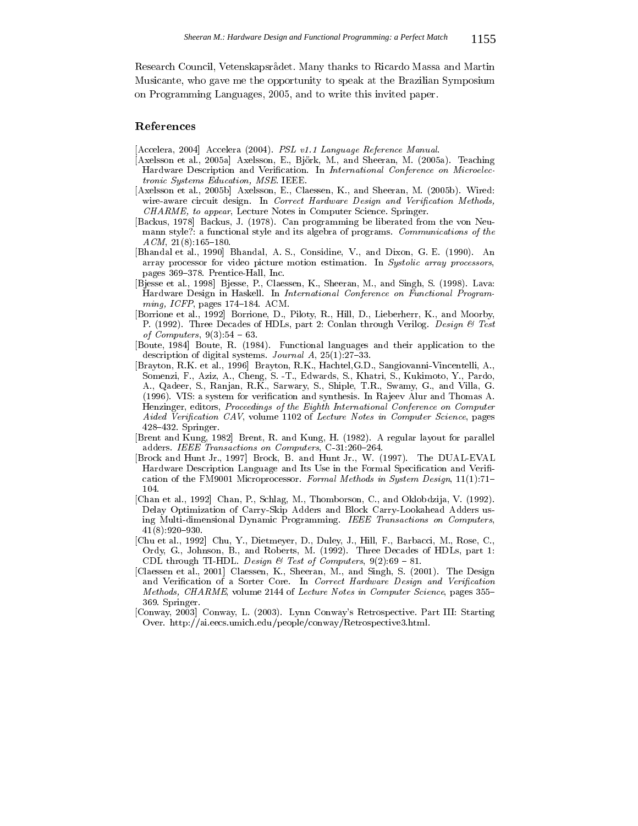Research Council, Vetenskapsrådet. Many thanks to Ricardo Massa and Martin Musicante, who gave me the opportunity to speak at the Brazilian Symposium on Programming Languages, 2005, and to write this invited paper.

### References

- [Accelera, 2004] Accelera (2004). PSL v1.1 Language Reference Manual.
- [Axelsson et al., 2005a] Axelsson, E., Björk, M., and Sheeran, M. (2005a). Teaching Hardware Description and Verification. In International Conference on Microelec*tronic Systems Education, MSE.* IEEE.
- [Axelsson et al., 2005b] Axelsson, E., Claessen, K., and Sheeran, M. (2005b). Wired: wire-aware circuit design. In Correct Hardware Design and Verification Methods, CHARME, to appear, Lecture Notes in Computer Science. Springer.
- [Backus, 1978] Backus, J. (1978). Can programming be liberated from the von Neumann style?: a functional style and its algebra of programs. Communications of the  $ACM$ , 21(8):165-180.
- [Bhandal et al., 1990] Bhandal, A. S., Considine, V., and Dixon, G. E. (1990). An array processor for video picture motion estimation. In Systolic array processors, pages 369-378. Prentice Hall, Inc.
- [Bjesse et al., 1998] Bjesse, P., Claessen, K., Sheeran, M., and Singh, S. (1998). Lava: Hardware Design in Haskell. In International Conference on Functional Program $ming, ICFP, pages 174-184. ACM.$
- [Borrione et al., 1992] Borrione, D., Piloty, R., Hill, D., Lieberherr, K., and Moorby, P. (1992). Three Decades of HDLs, part 2: Conlan through Verilog. Design  $\mathcal B$  Test of *Computers*,  $9(3):54 - 63$ .
- [Boute, 1984] Boute, R. (1984). Functional languages and their application to the description of digital systems. *Journal A*,  $25(1):27-33$ .
- [Brayton, R.K. et al., 1996] Brayton, R.K., Hachtel, G.D., Sangiovanni-Vincentelli, A., Somenzi, F., Aziz, A., Cheng, S. -T., Edwards, S., Khatri, S., Kukimoto, Y., Pardo, A., Qadeer, S., Ranjan, R.K., Sarwary, S., Shiple, T.R., Swamy, G., and Villa, G. (1996). VIS: a system for verification and synthesis. In Rajeev Alur and Thomas A. Henzinger, editors, Proceedings of the Eighth International Conference on Computer Aided Verification CAV, volume 1102 of Lecture Notes in Computer Science, pages 428-432. Springer.
- [Brent and Kung, 1982] Brent, R. and Kung, H. (1982). A regular layout for parallel adders. IEEE Transactions on Computers, C-31:260-264.
- [Brock and Hunt Jr., 1997] Brock, B. and Hunt Jr., W. (1997). The DUAL-EVAL Hardware Description Language and Its Use in the Formal Specification and Verification of the FM9001 Microprocessor. Formal Methods in System Design,  $11(1):71-$ 104.
- [Chan et al., 1992] Chan, P., Schlag, M., Thomborson, C., and Oklobdzija, V. (1992). Delay Optimization of Carry-Skip Adders and Block Carry-Lookahead Adders using Multi-dimensional Dynamic Programming. IEEE Transactions on Computers,  $41(8):920-930.$
- [Chu et al., 1992] Chu, Y., Dietmeyer, D., Duley, J., Hill, F., Barbacci, M., Rose, C., Ordy, G., Johnson, B., and Roberts, M. (1992). Three Decades of HDLs, part 1: CDL through TI-HDL. Design & Test of Computers,  $9(2):69 - 81$ .
- [Claessen et al., 2001] Claessen, K., Sheeran, M., and Singh, S. (2001). The Design and Verification of a Sorter Core. In Correct Hardware Design and Verification Methods, CHARME, volume 2144 of Lecture Notes in Computer Science, pages 355– 369 Springer.
- [Conway, 2003] Conway, L. (2003). Lynn Conway's Retrospective. Part III: Starting Over. http://ai.eecs.umich.edu/people/conway/Retrospective3.html.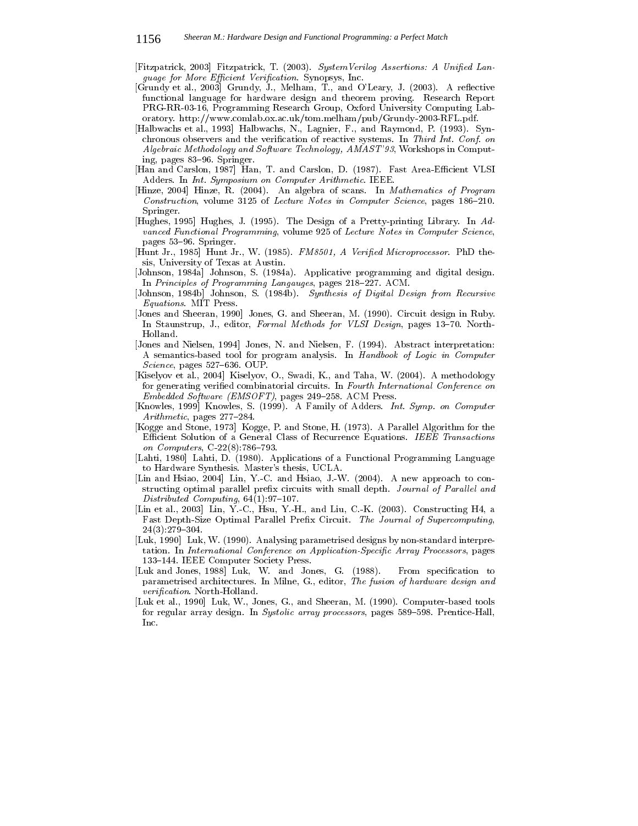[Fitzpatrick, 2003] Fitzpatrick, T. (2003). System Verilog Assertions: A Unified Language for More Efficient Verification. Synopsys, Inc.

- [Grundy et al., 2003] Grundy, J., Melham, T., and O'Leary, J. (2003). A reflective functional language for hardware design and theorem proving. Research Report PRG-RR-03-16, Programming Research Group, Oxford University Computing Laboratory. http://www.comlab.ox.ac.uk/tom.melham/pub/Grundy-2003-RFL.pdf.
- [Halbwachs et al., 1993] Halbwachs, N., Lagnier, F., and Raymond, P. (1993). Synchronous observers and the verification of reactive systems. In Third Int. Conf. on Algebraic Methodology and Software Technology, AMAST'93, Workshops in Computing, pages 83-96. Springer.
- [Han and Carslon, 1987] Han, T. and Carslon, D. (1987). Fast Area-Efficient VLSI Adders. In Int. Symposium on Computer Arithmetic. IEEE.
- [Hinze, 2004] Hinze, R. (2004). An algebra of scans. In Mathematics of Program *Construction, volume 3125 of Lecture Notes in Computer Science, pages 186-210.* Springer
- [Hughes, 1995] Hughes, J. (1995). The Design of a Pretty-printing Library. In Advanced Functional Programming, volume 925 of Lecture Notes in Computer Science, pages 53-96. Springer.
- [Hunt Jr., 1985] Hunt Jr., W. (1985). FM8501, A Verified Microprocessor. PhD thesis, University of Texas at Austin.
- [Johnson, 1984a] Johnson, S. (1984a). Applicative programming and digital design. In Principles of Programming Langauges, pages 218-227. ACM.
- [Johnson, 1984b] Johnson, S. (1984b). Synthesis of Digital Design from Recursive Equations. MIT Press.
- [Jones and Sheeran, 1990] Jones, G. and Sheeran, M. (1990). Circuit design in Ruby. In Staunstrup, J., editor, Formal Methods for VLSI Design, pages 13-70. North-Holland.
- [Jones and Nielsen, 1994] Jones, N. and Nielsen, F. (1994). Abstract interpretation: A semantics-based tool for program analysis. In Handbook of Logic in Computer Science, pages 527-636. OUP.
- [Kiselyov et al., 2004] Kiselyov, O., Swadi, K., and Taha, W. (2004). A methodology for generating verified combinatorial circuits. In Fourth International Conference on Embedded Software (EMSOFT), pages 249-258. ACM Press.
- [Knowles, 1999] Knowles, S. (1999). A Family of Adders. Int. Symp. on Computer  $Arithmetic$ , pages 277-284.
- [Kogge and Stone, 1973] Kogge, P. and Stone, H. (1973). A Parallel Algorithm for the Efficient Solution of a General Class of Recurrence Equations. IEEE Transactions on Computers, C-22(8):786-793.
- [Lahti, 1980] Lahti, D. (1980). Applications of a Functional Programming Language to Hardware Synthesis. Master's thesis, UCLA.
- [Lin and Hsiao, 2004] Lin, Y.-C. and Hsiao, J.-W. (2004). A new approach to constructing optimal parallel prefix circuits with small depth. Journal of Parallel and  $Distributed\ Computing, 64(1):97-107.$
- [Lin et al., 2003] Lin, Y.-C., Hsu, Y.-H., and Liu, C.-K. (2003). Constructing H4, a Fast Depth-Size Optimal Parallel Prefix Circuit. The Journal of Supercomputing,  $24(3):279-304.$
- [Luk, 1990] Luk, W. (1990). Analysing parametrised designs by non-standard interpretation. In International Conference on Application-Specific Array Processors, pages 133-144. IEEE Computer Society Press.
- [Luk and Jones, 1988] Luk, W. and Jones, G. (1988). From specification to parametrised architectures. In Milne, G., editor, The fusion of hardware design and *verification*. North-Holland.
- [Luk et al., 1990] Luk, W., Jones, G., and Sheeran, M. (1990). Computer-based tools for regular array design. In Systolic array processors, pages 589–598. Prentice-Hall,  $Inc.$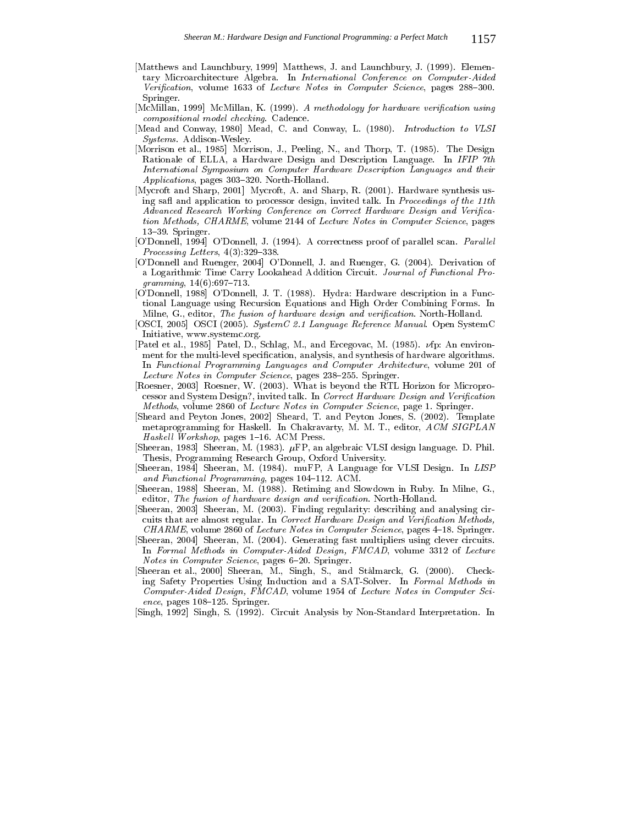- [Matthews and Launchbury, 1999] Matthews, J. and Launchbury, J. (1999). Elementary Microarchitecture Algebra. In International Conference on Computer-Aided Verification, volume 1633 of Lecture Notes in Computer Science, pages 288-300. Springer.
- [McMillan, 1999] McMillan, K. (1999). A methodology for hardware verification using compositional model checking. Cadence.
- [Mead and Conway, 1980] Mead, C. and Conway, L. (1980). Introduction to VLSI *Systems.* Addison Wesley.
- [Morrison et al., 1985] Morrison, J., Peeling, N., and Thorp, T. (1985). The Design Rationale of ELLA, a Hardware Design and Description Language. In IFIP 7th International Symposium on Computer Hardware Description Languages and their *Applications*, pages 303-320. North-Holland.
- [Mycroft and Sharp, 2001] Mycroft, A. and Sharp, R. (2001). Hardware synthesis using safl and application to processor design, invited talk. In Proceedings of the 11th Advanced Research Working Conference on Correct Hardware Design and Verification Methods, CHARME, volume 2144 of Lecture Notes in Computer Science, pages 13-39. Springer.
- [O'Donnell, 1994] O'Donnell, J. (1994). A correctness proof of parallel scan. Parallel *Processing Letters*,  $4(3)$ :329-338.
- [O'Donnell and Ruenger, 2004] O'Donnell, J. and Ruenger, G. (2004). Derivation of a Logarithmic Time Carry Lookahead Addition Circuit. Journal of Functional Pro $gramming, 14(6):697-713.$
- [O'Donnell, 1988] O'Donnell, J. T. (1988). Hydra: Hardware description in a Functional Language using Recursion Equations and High Order Combining Forms. In Milne, G., editor, The fusion of hardware design and verification. North-Holland.
- [OSCI, 2005] OSCI (2005). System C 2.1 Language Reference Manual. Open SystemC Initiative, www.systemc.org.
- [Patel et al., 1985] Patel, D., Schlag, M., and Ercegovac, M. (1985). vfp: An environment for the multi-level specification, analysis, and synthesis of hardware algorithms. In Functional Programming Languages and Computer Architecture, volume 201 of Lecture Notes in Computer Science, pages 238-255. Springer.
- [Roesner, 2003] Roesner, W. (2003). What is beyond the RTL Horizon for Microprocessor and System Design?, invited talk. In Correct Hardware Design and Verification Methods, volume 2860 of Lecture Notes in Computer Science, page 1. Springer.
- [Sheard and Peyton Jones, 2002] Sheard, T. and Peyton Jones, S. (2002). Template metaprogramming for Haskell. In Chakravarty, M. M. T., editor, ACM SIGPLAN Haskell Workshop, pages 1-16. ACM Press.
- [Sheeran, 1983] Sheeran, M. (1983).  $\mu$ FP, an algebraic VLSI design language. D. Phil. Thesis, Programming Research Group, Oxford University.
- [Sheeran, 1984] Sheeran, M. (1984). muFP, A Language for VLSI Design. In LISP and Functional Programming, pages 104-112. ACM.
- [Sheeran, 1988] Sheeran, M. (1988). Retiming and Slowdown in Ruby. In Milne, G., editor, The fusion of hardware design and verification. North-Holland.
- [Sheeran, 2003] Sheeran, M. (2003). Finding regularity: describing and analysing circuits that are almost regular. In Correct Hardware Design and Verification Methods, CHARME, volume 2860 of Lecture Notes in Computer Science, pages 4–18. Springer.
- [Sheeran, 2004] Sheeran, M. (2004). Generating fast multipliers using clever circuits. In Formal Methods in Computer-Aided Design, FMCAD, volume 3312 of Lecture Notes in Computer Science, pages 6-20. Springer.
- [Sheeran et al., 2000] Sheeran, M., Singh, S., and Stålmarck, G. (2000). Checking Safety Properties Using Induction and a SAT-Solver. In Formal Methods in Computer-Aided Design, FMCAD, volume 1954 of Lecture Notes in Computer Sci $ence, pages 108-125. Springer.$
- [Singh, 1992] Singh, S. (1992). Circuit Analysis by Non-Standard Interpretation. In